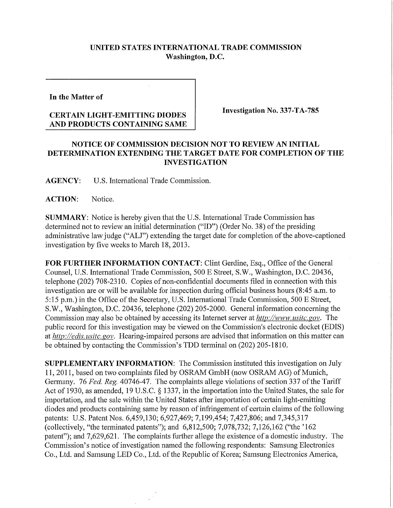## **UNITED STATES INTERNATIONAL TRADE COMMISSION Washington, D.C.**

**In the Matter of** 

## **CERTAIN LIGHT-EMITTING DIODES AND PRODUCTS CONTAINING SAME**

**Investigation No. 337-TA-785** 

## **NOTICE OF COMMISSION DECISION NOT TO REVIEW AN INITIAL DETERMINATION EXTENDING THE TARGET DATE FOR COMPLETION OF THE INVESTIGATION**

**AGENCY:** U.S. International Trade Commission.

**ACTION:** Notice.

**SUMMARY:** Notice is hereby given that the U.S. Intemational Trade Commission has determined not to review an initial determination ("ID") (Order No. 38) of the presiding administrative law judge ("ALJ") extending the target date for completion of the above-captioned investigation by five weeks to March 18,2013.

**FOR FURTHER INFORMATION CONTACT:** Clint Gerdine, Esq., Office of the General Counsel, U.S. Intemational Trade Commission, 500 E Street, S.W., Washington, D.C. 20436, telephone (202) 708-2310. Copies of non-confidential documents filed in connection with this investigation are or will be available for inspection during official business hours (8:45 a.m. to 5:15 p.m.) in the Office of the Secretary, U.S. International Trade Commission, 500 E Street, S.W., Washington, D.C. 20436, telephone (202) 205-2000. General information concerning the Commission may also be obtained by accessing its Internet server at *http://www.usitc.gov.* The public record for this investigation may be viewed on the Commission's electronic docket (EDIS) at *http://edis. usitc. gov.* Hearing-impaired persons are advised that information on this matter can be obtained by contacting the Commission's TDD terminal on (202) 205-1810.

**SUPPLEMENTARY INFORMATION:** The Commission instituted this investigation on July 11, 2011, based on two complaints filed by OSRAM GmbH (now OSRAM AG) of Munich, Germany. 76 *Fed. Reg.* 40746-47. The complaints allege violations of section 337 of the Tariff Act of 1930, as amended, 19 U.S.C. § 1337, in the importation into the United States, the sale for importation, and the sale within the United States after importation of certain light-emitting diodes and products containing same by reason of infringement of certain claims of the following patents: U.S. Patent Nos. 6,459,130; 6,927,469; 7,199,454; 7,427,806; and 7,345,317 (collectively, "the terminated patents"); and 6,812,500; 7,078,732; 7,126,162 ("the '162 patent"); and 7,629,621. The complaints further allege the existence of a domestic industry. The Commission's notice of investigation named the following respondents: Samsung Electronics Co., Ltd. and Samsung LED Co., Ltd. of the Republic of Korea; Samsung Electronics America,